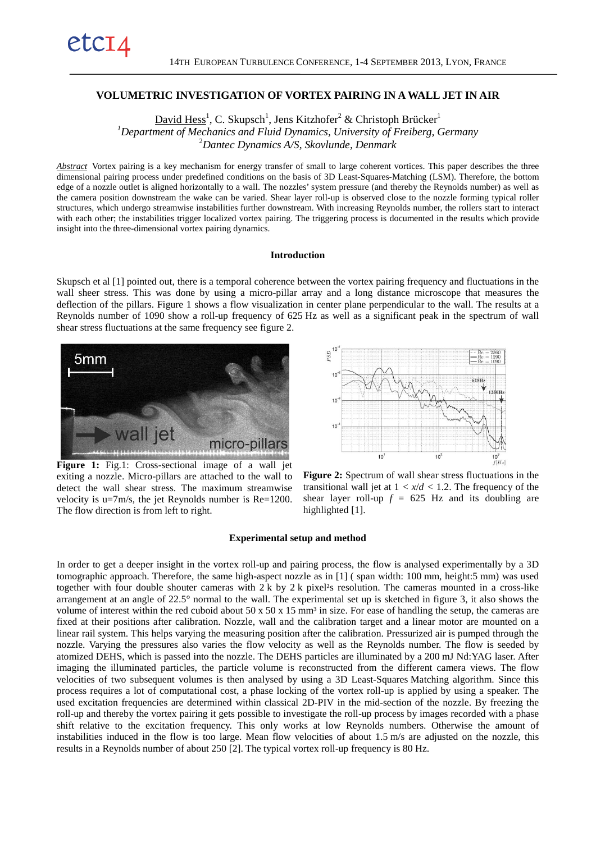# **VOLUMETRIC INVESTIGATION OF VORTEX PAIRING IN A WALL JET IN AIR**

David Hess<sup>1</sup>, C. Skupsch<sup>1</sup>, Jens Kitzhofer<sup>2</sup> & Christoph Brücker<sup>1</sup> *1 Department of Mechanics and Fluid Dynamics, University of Freiberg, Germany* 2 *Dantec Dynamics A/S, Skovlunde, Denmark*

*Abstract* Vortex pairing is a key mechanism for energy transfer of small to large coherent vortices. This paper describes the three dimensional pairing process under predefined conditions on the basis of 3D Least-Squares-Matching (LSM). Therefore, the bottom edge of a nozzle outlet is aligned horizontally to a wall. The nozzles' system pressure (and thereby the Reynolds number) as well as the camera position downstream the wake can be varied. Shear layer roll-up is observed close to the nozzle forming typical roller structures, which undergo streamwise instabilities further downstream. With increasing Reynolds number, the rollers start to interact with each other; the instabilities trigger localized vortex pairing. The triggering process is documented in the results which provide insight into the three-dimensional vortex pairing dynamics.

#### **Introduction**

Skupsch et al [1] pointed out, there is a temporal coherence between the vortex pairing frequency and fluctuations in the wall sheer stress. This was done by using a micro-pillar array and a long distance microscope that measures the deflection of the pillars. Figure 1 shows a flow visualization in center plane perpendicular to the wall. The results at a Reynolds number of 1090 show a roll-up frequency of 625 Hz as well as a significant peak in the spectrum of wall shear stress fluctuations at the same frequency see figure 2.



etc14



Figure 1: Fig.1: Cross-sectional image of a wall jet exiting a nozzle. Micro-pillars are attached to the wall to detect the wall shear stress. The maximum streamwise velocity is  $u=7m/s$ , the jet Reynolds number is  $Re=1200$ . The flow direction is from left to right.

**Figure 2:** Spectrum of wall shear stress fluctuations in the transitional wall jet at  $1 < x/d < 1.2$ . The frequency of the shear layer roll-up  $f = 625$  Hz and its doubling are highlighted [1].

#### **Experimental setup and method**

In order to get a deeper insight in the vortex roll-up and pairing process, the flow is analysed experimentally by a 3D tomographic approach. Therefore, the same high-aspect nozzle as in [1] ( span width: 100 mm, height:5 mm) was used together with four double shouter cameras with  $2k$  by  $2k$  pixel<sup>2</sup>s resolution. The cameras mounted in a cross-like arrangement at an angle of 22.5° normal to the wall. The experimental set up is sketched in figure 3, it also shows the volume of interest within the red cuboid about  $50 \times 50 \times 15$  mm<sup>3</sup> in size. For ease of handling the setup, the cameras are fixed at their positions after calibration. Nozzle, wall and the calibration target and a linear motor are mounted on a linear rail system. This helps varying the measuring position after the calibration. Pressurized air is pumped through the nozzle. Varying the pressures also varies the flow velocity as well as the Reynolds number. The flow is seeded by atomized DEHS, which is passed into the nozzle. The DEHS particles are illuminated by a 200 mJ Nd:YAG laser. After imaging the illuminated particles, the particle volume is reconstructed from the different camera views. The flow velocities of two subsequent volumes is then analysed by using a 3D Least-Squares Matching algorithm. Since this process requires a lot of computational cost, a phase locking of the vortex roll-up is applied by using a speaker. The used excitation frequencies are determined within classical 2D-PIV in the mid-section of the nozzle. By freezing the roll-up and thereby the vortex pairing it gets possible to investigate the roll-up process by images recorded with a phase shift relative to the excitation frequency. This only works at low Reynolds numbers. Otherwise the amount of instabilities induced in the flow is too large. Mean flow velocities of about 1.5 m/s are adjusted on the nozzle, this results in a Reynolds number of about 250 [2]. The typical vortex roll-up frequency is 80 Hz.